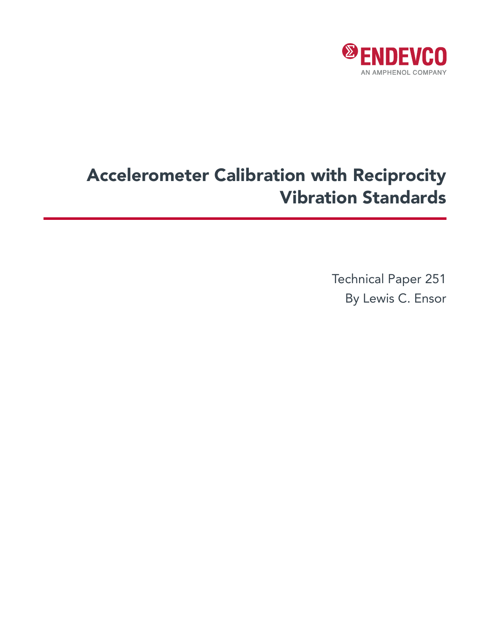

# Accelerometer Calibration with Reciprocity Vibration Standards

Technical Paper 251 By Lewis C. Ensor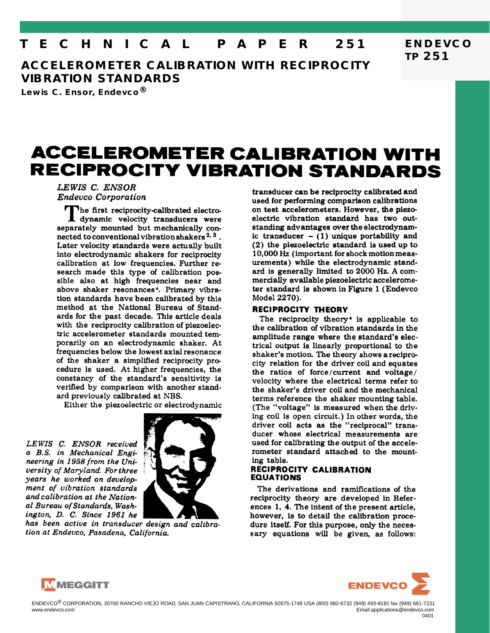## **T E C H N I C A L P A P E R 251**

**ACCELEROMETER CALIBRATION WITH RECIPROCITY VIBRATION STANDARDS**

**Lewis C. Ensor, Endevco®**

## **ACCELEROMETER CALIBRATION WITH RECIPROCITY VIBRATION STANDARDS**

LEWIS C. ENSOR **Endevco Corporation** 

The first reciprocity-calibrated electrodynamic velocity transducers were separately mounted but mechanically connected to conventional vibration shakers<sup>2, 3</sup>. Later velocity standards were actually built into electrodynamic shakers for reciprocity calibration at low frequencies. Further research made this type of calibration possible also at high frequencies near and above shaker resonances<sup>4</sup>. Primary vibration standards have been calibrated by this method at the National Bureau of Standards for the past decade. This article deals with the reciprocity calibration of piezoelectric accelerometer standards mounted temporarily on an electrodynamic shaker. At frequencies below the lowest axial resonance of the shaker a simplified reciprocity procedure is used. At higher frequencies, the constancy of the standard's sensitivity is verified by comparison with another standard previously calibrated at NBS.

Either the piezoelectric or electrodynamic

LEWIS C. ENSOR received a B.S. in Mechanical Engineering in 1958 from the University of Maryland. For three years he worked on development of vibration standards and calibration at the National Bureau of Standards, Washington, D. C. Since 1961 he



has been active in transducer design and calibration at Endevco, Pasadena, California.

transducer can be reciprocity calibrated and used for performing comparison calibrations on test accelerometers. However, the piezoelectric vibration standard has two outstanding advantages over the electrodynamic transducer  $-$  (1) unique portability and  $(2)$  the piezoelectric standard is used up to 10,000 Hz (important for shock motion measurements) while the electrodynamic standard is generally limited to 2000 Hz. A commercially available piezoelectric accelerometer standard is shown in Figure 1 (Endevco) Model 2270).

#### **RECIPROCITY THEORY**

The reciprocity theory<sup>4</sup> is applicable to the calibration of vibration standards in the amplitude range where the standard's electrical output is linearly proportional to the shaker's motion. The theory shows a reciprocity relation for the driver coil and equates the ratios of force/current and voltage/ velocity where the electrical terms refer to the shaker's driver coil and the mechanical terms reference the shaker mounting table. (The "voltage" is measured when the driving coil is open circuit.) In other words, the driver coil acts as the "reciprocal" transducer whose electrical measurements are used for calibrating the output of the accelerometer standard attached to the mounting table.

### RECIPROCITY CALIBRATION **EQUATIONS**

The derivations and ramifications of the reciprocity theory are developed in References 1, 4. The intent of the present article, however, is to detail the calibration procedure itself. For this purpose, only the necessary equations will be given, as follows:





**TP 251**

**ENDEVCO**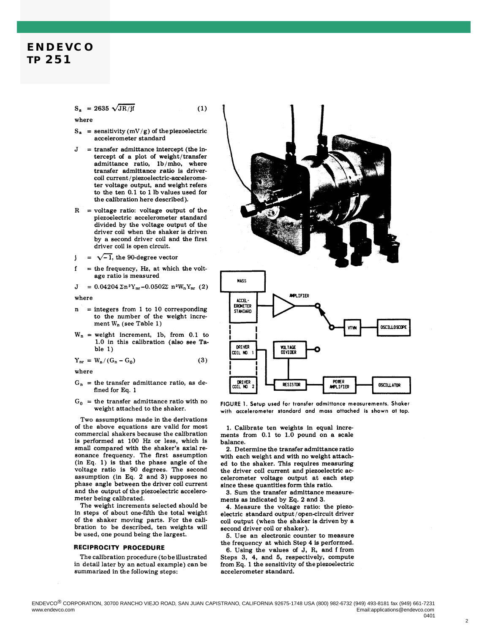### **ENDEVCO TP 251**

 $S_a = 2635 \sqrt{JR/jf}$ 

where

 $S_a$  = sensitivity (mV/g) of the piezoelectric accelerometer standard

 $(1)$ 

- = transfer admittance intercept (the in-J tercept of a plot of weight/transfer admittance ratio, 1b/mho, where transfer admittance ratio is drivercoil current/piezoelectric-accelerometer voltage output, and weight refers to the ten 0.1 to 1 lb values used for the calibration here described).
- $R = voltage ratio: voltage output of the$ piezoelectric accelerometer standard divided by the voltage output of the driver coil when the shaker is driven by a second driver coil and the first driver coil is open circuit.

 $=\sqrt{-1}$ , the 90-degree vector j

 $\mathbf f$ = the frequency, Hz, at which the voltage ratio is measured

$$
J = 0.04204 \Sigma n^2 Y_{nr} + 0.0502\Sigma n^2 W_n Y_{nr} (2)
$$

where

- $n =$  integers from 1 to 10 corresponding to the number of the weight increment  $W_n$  (see Table 1)
- $W_n$  = weight increment, 1b, from 0.1 to 1.0 in this calibration (also see Ta $ble<sub>1</sub>$

$$
Y_{nr} = W_n/(G_n - G_0)
$$
 (3)

where

- $G_n$  = the transfer admittance ratio, as defined for Eq. 1
- $G_0$  = the transfer admittance ratio with no weight attached to the shaker.

Two assumptions made in the derivations of the above equations are valid for most commercial shakers because the calibration is performed at 100 Hz or less, which is small compared with the shaker's axial resonance frequency. The first assumption  $(in Eq. 1)$  is that the phase angle of the voltage ratio is 90 degrees. The second assumption (in Eq. 2 and 3) supposes no phase angle between the driver coil current and the output of the piezoelectric accelerometer being calibrated.

The weight increments selected should be in steps of about one-fifth the total weight of the shaker moving parts. For the calibration to be described, ten weights will be used, one pound being the largest.

#### RECIPROCITY PROCEDURE

The calibration procedure (to be illustrated in detail later by an actual example) can be summarized in the following steps:





FIGURE 1. Setup used for transfer admittance measurements. Shaker with accelerometer standard and mass attached is shown at top.

1. Calibrate ten weights in equal increments from 0.1 to 1.0 pound on a scale balance.

2. Determine the transfer admittance ratio with each weight and with no weight attached to the shaker. This requires measuring the driver coil current and piezoelectric accelerometer voltage output at each step since these quantities form this ratio.

3. Sum the transfer admittance measurements as indicated by Eq. 2 and 3.

4. Measure the voltage ratio: the piezoelectric standard output/open-circuit driver coil output (when the shaker is driven by a second driver coil or shaker).

5. Use an electronic counter to measure the frequency at which Step 4 is performed. 6. Using the values of J, R, and f from

Steps 3, 4, and 5, respectively, compute from Eq. 1 the sensitivity of the piezoelectric accelerometer standard.

 $\overline{2}$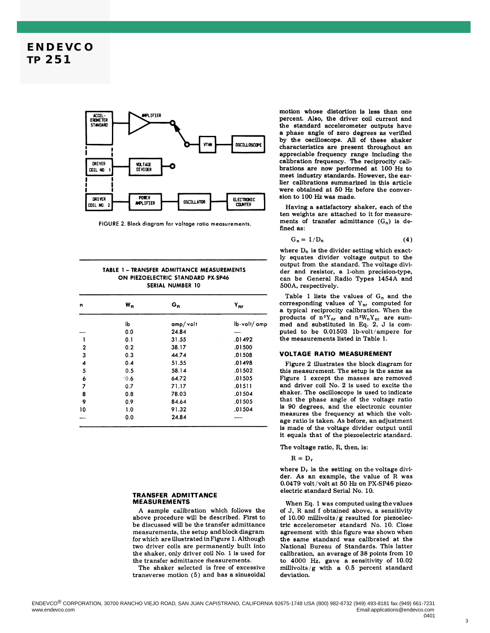

FIGURE 2. Block diagram for voltage ratio measurements.

| TABLE 1 - TRANSFER ADMITTANCE MEASUREMENTS |  |  |  |  |
|--------------------------------------------|--|--|--|--|
| ON PIEZOELECTRIC STANDARD PX-SP46          |  |  |  |  |
| SERIAL NUMBER 10                           |  |  |  |  |

| n                       | $W_n$ | G <sub>n</sub> | $Y_{nr}$    |
|-------------------------|-------|----------------|-------------|
|                         | lЬ    | amp/volt       | lb-volt/amp |
|                         | 0.0   | 24.84          | ----        |
| 1                       | 0.1   | 31.55          | .01492      |
| $\mathbf 2$             | 0.2   | 38.17          | .01500      |
| 3                       | 0.3   | 44.74          | .01508      |
| $\overline{\mathbf{4}}$ | 0.4   | 51.55          | .01498      |
| 5                       | 0.5   | 58.14          | .01502      |
| 6                       | 0.6   | 64.72          | .01505      |
| 7                       | 0.7   | 71.17          | .01511      |
| 8                       | 0.8   | 78.03          | .01504      |
| 9                       | 0.9   | 84.64          | .01505      |
| 10                      | 1.0   | 91.32          | .01504      |
|                         | 0.0   | 24.84          |             |

#### TRANSFER ADMITTANCE **MEASUREMENTS**

A sample calibration which follows the above procedure will be described. First to be discussed will be the transfer admittance measurements, the setup and block diagram for which are illustrated in Figure 1. Although two driver coils are permanently built into the shaker, only driver coil No. 1 is used for the transfer admittance measurements.

The shaker selected is free of excessive transverse motion  $(5)$  and has a sinusoidal motion whose distortion is less than one percent. Also, the driver coil current and the standard accelerometer outputs have a phase angle of zero degrees as verified by the oscilloscope. All of these shaker characteristics are present throughout an appreciable frequency range including the<br>calibration frequency. The reciprocity calibrations are now performed at 100 Hz to meet industry standards. However, the earlier calibrations summarized in this article were obtained at 50 Hz before the conversion to 100 Hz was made.

Having a satisfactory shaker, each of the ten weights are attached to it for measurements of transfer admittance  $(G_n)$  is defined as:

$$
G_n = 1/D_n \tag{4}
$$

where  $D_n$  is the divider setting which exactly equates divider voltage output to the output from the standard. The voltage divider and resistor, a 1-ohm precision-type, can be General Radio Types 1454A and 500A, respectively.

Table 1 lists the values of  $G_n$  and the corresponding values of  $Y_{nr}$  computed for a typical reciprocity calibration. When the products of  $n^2 Y_{nr}$  and  $n^2 W_n Y_{nr}$  are summed and substituted in Eq. 2, J is computed to be 0.01503 1b-volt/ampere for the measurements listed in Table 1.

#### **VOLTAGE RATIO MEASUREMENT**

Figure 2 illustrates the block diagram for this measurement. The setup is the same as Figure 1 except the masses are removed and driver coil No. 2 is used to excite the shaker. The oscilloscope is used to indicate that the phase angle of the voltage ratio is 90 degrees, and the electronic counter measures the frequency at which the voltage ratio is taken. As before, an adjustment is made of the voltage divider output until it equals that of the piezoelectric standard.

The voltage ratio, R, then, is:

 $R = D_r$ 

where  $D_r$  is the setting on the voltage divider. As an example, the value of R was 0.0479 volt/volt at 50 Hz on PX-SP46 piezoelectric standard Serial No. 10.

When Eq. 1 was computed using the values of J, R and f obtained above, a sensitivity of 10.00 millivolts/g resulted for piezoelectric accelerometer standard No. 10. Close agreement with this figure was shown when the same standard was calibrated at the National Bureau of Standards. This latter calibration, an average of  $38$  points from  $10\,$ to 4000 Hz, gave a sensitivity of 10.02 millivolts/g with a  $0.5$  percent standard deviation.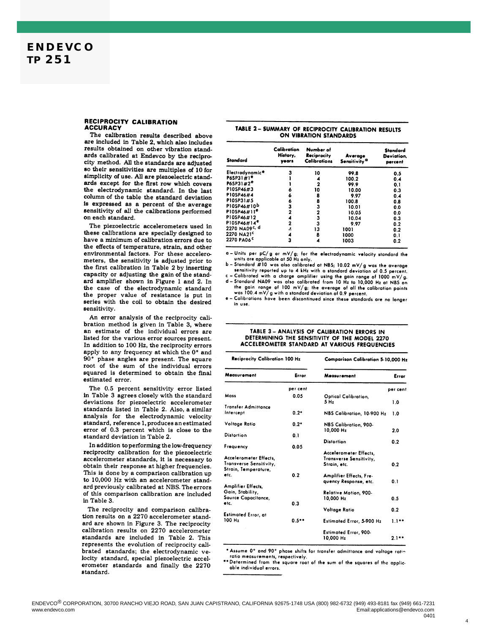#### RECIPROCITY CALIBRATION **ACCURACY**

The calibration results described above are included in Table 2, which also includes results obtained on other vibration standards calibrated at Endevco by the reciprocity method. All the standards are adjusted so their sensitivities are multiples of 10 for simplicity of use. All are piezoelectric standards except for the first row which covers the electrodynamic standard. In the last column of the table the standard deviation is expressed as a percent of the average sensitivity of all the calibrations performed on each standard.

The piezoelectric accelerometers used in these calibrations are specially designed to have a minimum of calibration errors due to the effects of temperature, strain, and other environmental factors. For these accelerometers, the sensitivity is adjusted prior to the first calibration in Table 2 by inserting capacity or adjusting the gain of the standard amplifier shown in Figure 1 and 2. In the case of the electrodynamic standard the proper value of resistance is put in series with the coil to obtain the desired sensitivity.

An error analysis of the reciprocity calibration method is given in Table 3, where an estimate of the individual errors are listed for the various error sources present. In addition to 100 Hz, the reciprocity errors apply to any frequency at which the 0° and  $90°$ phase angles are present. The square root of the sum of the individual errors squared is determined to obtain the final estimated error.

The 0.5 percent sensitivity error listed in Table 3 agrees closely with the standard deviations for piezoelectric accelerometer standards listed in Table 2. Also, a similar analysis for the electrodynamic velocity standard, reference 1, produces an estimated error of 0.3 percent which is close to the standard deviation in Table 2.

In addition to performing the low-frequency reciprocity calibration for the piezoelectric accelerometer standards, it is necessary to obtain their response at higher frequencies. This is done by a comparison calibration up to 10,000 Hz with an accelerometer standard previously calibrated at NBS. The errors of this comparison calibration are included in Table 3.

The reciprocity and comparison calibration results on a 2270 accelerometer standard are shown in Figure 3. The reciprocity calibration results on 2270 accelerometer standards are included in Table 2. This represents the evolution of reciprocity calibrated standards; the electrodynamic velocity standard, special piezoelectric accelerometer standards and finally the 2270 standard.

#### TABLE 2 - SUMMARY OF RECIPROCITY CALIBRATION RESULTS ON VIBRATION STANDARDS

| Standard                  | Calibration<br>History,<br>vears | Number of<br>Reciprocity<br><b>Calibrations</b> | Average<br>Sensitivity <sup>a</sup> | Standard<br>Deviation,<br>percent |
|---------------------------|----------------------------------|-------------------------------------------------|-------------------------------------|-----------------------------------|
| Electrodynamice           | 3                                | 10                                              | 99.8                                | 0.5                               |
| P65P31#1 <sup>e</sup>     |                                  | 4                                               | 100.2                               | 0.4                               |
| P6SP31#2 <sup>e</sup>     |                                  | 2                                               | 99.9                                | 0.1                               |
| P10SP46#3                 | 6                                | 10                                              | 10.00                               | 0.3                               |
| P10SP46#4                 | 6                                | 8                                               | 9.97                                | 0.4                               |
| P10SP31#5                 | 6                                | 8                                               | 100.8                               | 0.8                               |
| P10SP46#10b               | з                                | 3                                               | 10.01                               | 0.0                               |
| PIOSP46#11 <sup>e</sup>   | $\overline{\mathbf{2}}$          | 2                                               | 10.05                               | 0.0                               |
| P10SP46#12                | 4                                | 3                                               | 10.04                               | 0.3                               |
| $P105P46#14^e$            | $\overline{2}$                   | 3                                               | 9.97                                | 0.2                               |
| 2270 NA09 <sup>c, d</sup> | 4                                | 13                                              | 1001                                | 0.2                               |
| 2270 NA21 <sup>c</sup>    | 4                                | 8                                               | 1000                                | 0.1                               |
| 2270 PA06 <sup>c</sup>    | 3                                | 4                                               | 1003                                | 0.2                               |

 $a$  - Units per  $pC/g$  or  $mV/g$ ; for the electrodynamic velocity standard the units are applicable at 50 Hz only.

 $b$  - Standard #10 was also calibrated at NBS; 10.02 mV/g was the average sensitivity reported up to 4 kHz with a standard deviation of 0.5 percent.

Calibrated with a charge amplifier using the gain range of 1000 mV/g. d - Standard NA09 was also calibrated from 10 Hz to 10,000 Hz at NBS on the gain range of 100 mV/g; the average of all the calibration points<br>was 100.4 mV/g with a standard deviation of 0.9 percent.

e - Calibrations have been discontinued since these standards are no longer in use.

#### TABLE 3 - ANALYSIS OF CALIBRATION ERRORS IN DETERMINING THE SENSITIVITY OF THE MODEL 2270 ACCELEROMETER STANDARD AT VARIOUS FREQUENCIES

| <b>Reciprocity Calibration 100 Hz</b> |                                         | Comparison Calibration 5-10,000 Hz                                                                                                                        |  |  |
|---------------------------------------|-----------------------------------------|-----------------------------------------------------------------------------------------------------------------------------------------------------------|--|--|
| Error                                 | Measurement                             | Error                                                                                                                                                     |  |  |
| per cent                              |                                         | per cent                                                                                                                                                  |  |  |
| 0.05                                  | Optical Calibration,<br>5 <sub>Hz</sub> | 1.0                                                                                                                                                       |  |  |
|                                       |                                         |                                                                                                                                                           |  |  |
| $0.2*$                                | NBS Calibration, 10-900 Hz              | 1.0                                                                                                                                                       |  |  |
| $0.2*$                                | NBS Calibration, 900-                   |                                                                                                                                                           |  |  |
|                                       |                                         | 2.0                                                                                                                                                       |  |  |
|                                       |                                         |                                                                                                                                                           |  |  |
|                                       |                                         | 0.2                                                                                                                                                       |  |  |
|                                       |                                         |                                                                                                                                                           |  |  |
|                                       |                                         |                                                                                                                                                           |  |  |
|                                       |                                         |                                                                                                                                                           |  |  |
|                                       |                                         | 0.2                                                                                                                                                       |  |  |
| 0.2                                   | Amplifier Effects, Fre-                 |                                                                                                                                                           |  |  |
|                                       | quency Response, etc.                   | 0.1                                                                                                                                                       |  |  |
|                                       |                                         |                                                                                                                                                           |  |  |
|                                       |                                         |                                                                                                                                                           |  |  |
|                                       | 10,000 Hz                               | 0.5                                                                                                                                                       |  |  |
| 0.3                                   |                                         |                                                                                                                                                           |  |  |
|                                       | Voltage Ratio                           | 0.2                                                                                                                                                       |  |  |
| $0.5***$                              |                                         | $1.1***$                                                                                                                                                  |  |  |
|                                       |                                         |                                                                                                                                                           |  |  |
|                                       | Estimated Error, 900-                   |                                                                                                                                                           |  |  |
|                                       | 10.000 Hz                               | $2.1**$                                                                                                                                                   |  |  |
|                                       | 0.1<br>0.05                             | 10.000 Hz<br><b>Distortion</b><br>Accelerometer Effects,<br>Transverse Sensitivity,<br>Strain, etc.<br>Relative Motion, 900-<br>Estimated Error, 5-900 Hz |  |  |

\* Assume 0° and 90° phase shifts for transfer admittance and voltage ration ratio measurements, respectively.

Determined from the square root of the sum of the squares of the applicable individual errors.

 $\overline{4}$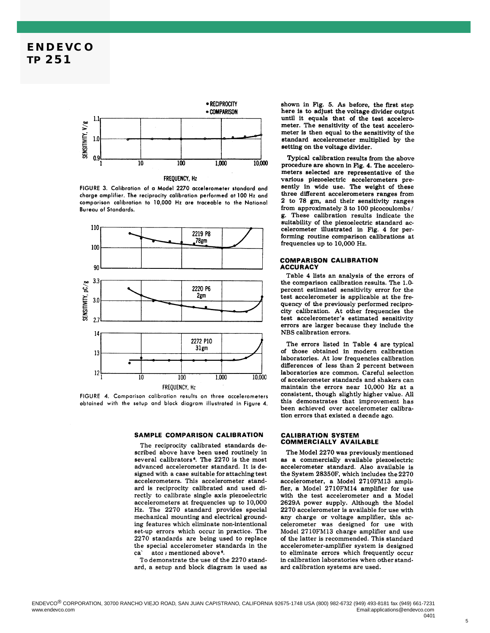

FIGURE 3. Calibration of a Model 2270 accelerometer standard and charge amplifier. The reciprocity calibration performed at 100 Hz and comparison calibration to 10,000 Hz are traceable to the National **Bureau of Standards.** 



FIGURE 4. Comparison calibration results on three accelerometers obtained with the setup and block diagram illustrated in Figure 4.

#### SAMPLE COMPARISON CALIBRATION

The reciprocity calibrated standards described above have been used routinely in several calibrators<sup>6</sup>. The 2270 is the most advanced accelerometer standard. It is designed with a case suitable for attaching test accelerometers. This accelerometer standard is reciprocity calibrated and used directly to calibrate single axis piezoelectric accelerometers at frequencies up to 10,000 Hz. The 2270 standard provides special mechanical mounting and electrical grounding features which eliminate non-intentional set-up errors which occur in practice. The  $2270$  standards are being used to replace the special accelerometer standards in the ator ; mentioned above<sup>6</sup>. ca'

To demonstrate the use of the 2270 standard, a setup and block diagram is used as shown in Fig. 5. As before, the first step here is to adjust the voltage divider output until it equals that of the test accelerometer. The sensitivity of the test accelerometer is then equal to the sensitivity of the standard accelerometer multiplied by the setting on the voltage divider.

Typical calibration results from the above procedure are shown in Fig. 4. The accelerometers selected are representative of the various piezoelectric accelerometers presently in wide use. The weight of these three different accelerometers ranges from 2 to 78 gm, and their sensitivity ranges from approximately 3 to 100 picocoulombs/ g. These calibration results indicate the suitability of the piezoelectric standard accelerometer illustrated in Fig. 4 for performing routine comparison calibrations at frequencies up to 10,000 Hz.

#### **COMPARISON CALIBRATION ACCURACY**

Table 4 lists an analysis of the errors of the comparison calibration results. The 1.0percent estimated sensitivity error for the test accelerometer is applicable at the frequency of the previously performed reciprocity calibration. At other frequencies the test accelerometer's estimated sensitivity errors are larger because they include the NBS calibration errors.

The errors listed in Table 4 are typical of those obtained in modern calibration laboratories. At low frequencies calibration differences of less than 2 percent between laboratories are common. Careful selection of accelerometer standards and shakers can maintain the errors near 10,000 Hz at a consistent, though slightly higher value. All this demonstrates that improvement has been achieved over accelerometer calibration errors that existed a decade ago.

#### **CALIBRATION SYSTEM COMMERCIALLY AVAILABLE**

The Model 2270 was previously mentioned as a commercially available piezoelectric accelerometer standard. Also available is the System 28350F, which includes the 2270 accelerometer, a Model 2710FM13 amplifier, a Model 2710FM14 amplifier for use with the test accelerometer and a Model 2629A power supply. Although the Model 2270 accelerometer is available for use with any charge or voltage amplifier, this accelerometer was designed for use with Model 2710FM13 charge amplifier and use of the latter is recommended. This standard accelerometer-amplifier system is designed to eliminate errors which frequently occur in calibration laboratories when other standard calibration systems are used.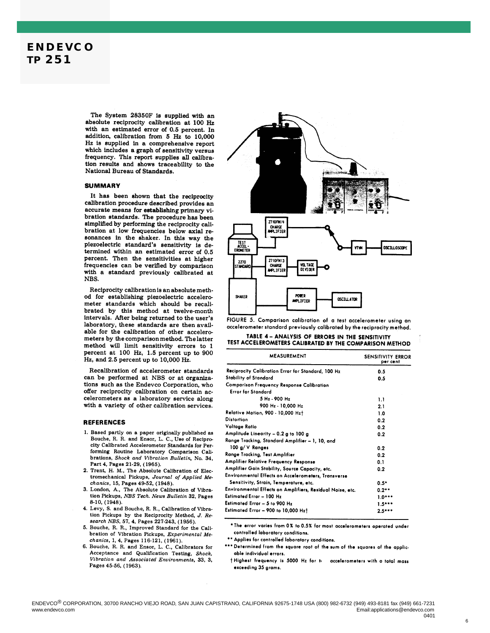## **ENDEVCO TP 251**

The System 28350F is supplied with an absolute reciprocity calibration at 100 Hz with an estimated error of 0.5 percent. In addition, calibration from 5 Hz to 10,000 Hz is supplied in a comprehensive report which includes a graph of sensitivity versus frequency. This report supplies all calibration results and shows traceability to the National Bureau of Standards.

#### **SUMMARY**

It has been shown that the reciprocity calibration procedure described provides an accurate means for establishing primary vibration standards. The procedure has been simplified by performing the reciprocity calibration at low frequencies below axial resonances in the shaker. In this way the piezoelectric standard's sensitivity is determined within an estimated error of 0.5 percent. Then the sensitivities at higher frequencies can be verified by comparison with a standard previously calibrated at NBS.

Reciprocity calibration is an absolute method for establishing piezoelectric accelerometer standards which should be recalibrated by this method at twelve-month intervals. After being returned to the user's laboratory, these standards are then available for the calibration of other accelerometers by the comparison method. The latter method will limit sensitivity errors to 1 percent at 100 Hz, 1.5 percent up to 900 Hz, and 2.5 percent up to 10,000 Hz.

Recalibration of accelerometer standards can be performed at NBS or at organizations such as the Endevco Corporation, who offer reciprocity calibration on certain accelerometers as a laboratory service along with a variety of other calibration services.

#### **REFERENCES**

- 1. Based partly on a paper originally published as Bouche, R. R. and Ensor, L. C., Use of Reciprocity Calibrated Accelerometer Standards for Performing Routine Laboratory Comparison Calibrations, Shock and Vibration Bulletin, No. 34, Part 4, Pages 21-29, (1965).
- 2. Trent, H. M., The Absolute Calibration of Electromechanical Pickups, Journal of Applied Mechanics, 15, Pages 49-52, (1948).
- 3. London, A., The Absolute Calibration of Vibration Pickups, NBS Tech. News Bulletin 32, Pages 8-10, (1948).
- 4. Levy, S. and Bouche, R. R., Calibration of Vibration Pickups by the Reciprocity Method, J. Research NBS, 57, 4, Pages 227-243, (1956).
- 5. Bouche, R. R., Improved Standard for the Calibration of Vibration Pickups, Experimental Mechanics, 1, 4, Pages 116-121, (1961).
- 6. Bouche, R. R. and Ensor, L. C., Calibrators for Acceptance and Qualification Testing, Shock, Vibration and Associated Environments, 33, 3, Pages 45-56, (1963).



FIGURE 5. Comparison calibration of a test accelerometer using an accelerometer standard previously calibrated by the reciprocity method.

#### TABLE 4 - ANALYSIS OF ERRORS IN THE SENSITIVITY TEST ACCELEROMETERS CALIBRATED BY THE COMPARISON METHOD

| <b>MEASUREMENT</b>                                        | <b>SENSITIVITY ERROR</b><br>per cent |  |
|-----------------------------------------------------------|--------------------------------------|--|
| Reciprocity Calibration Error for Standard, 100 Hz        | 0.5                                  |  |
| <b>Stability of Standard</b>                              | 0.5                                  |  |
| <b>Comparison Frequency Response Calibration</b>          |                                      |  |
| <b>Error for Standard</b>                                 |                                      |  |
| 5 Hz - 900 Hz                                             | 1.1                                  |  |
| 900 Hz - 10,000 Hz                                        | 2.1                                  |  |
| Relative Motion, 900 - 10,000 Hzt                         | 1.0                                  |  |
| <b>Distortion</b>                                         | 0.2                                  |  |
| Voltage Ratio                                             | 0.2                                  |  |
| Amplitude Linearity - 0.2 g to 100 g                      | 0.2                                  |  |
| Range Tracking, Standard Amplifier - 1, 10, and           |                                      |  |
| 100 g/ V Ranges                                           | 0.2                                  |  |
| Range Tracking, Test Amplifier                            | 0.2                                  |  |
| Amplifier Relative Frequency Response                     | 0.1                                  |  |
| Amplifier Gain Stability, Source Capacity, etc.           | 0.2                                  |  |
| Environmental Effects on Accelerometers, Transverse       |                                      |  |
| Sensitivity, Strain, Temperature, etc.                    | $0.5*$                               |  |
| Environmental Effects on Amplifiers, Residual Noise, etc. | $0.2***$                             |  |
| Estimated Error - 100 Hz                                  | $1.0***$                             |  |
| Estimated Error - 5 to 900 Hz                             | $1.5***$                             |  |
| Estimated Error - 900 to 10,000 Hzt                       | $2.5***$                             |  |

\* The error varies from 0% to 0.5% for most accelerometers operated under controlled laboratory conditions.

\*\* Applies for controlled laboratory conditions.

\*\*\* Determined from the square root of the sum of the squares of the applicable individual errors.

thighest frequency is 5000 Hz for to accelerometers with a total mass exceeding 35 grams.

 $6$